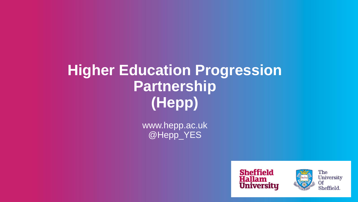# **Higher Education Progression Partnership (Hepp)**

www.hepp.ac.uk @Hepp\_YES





The University Of Sheffield.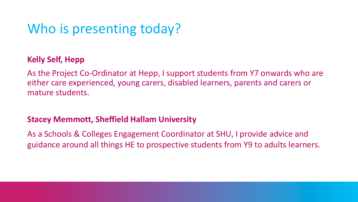## Who is presenting today?

#### **Kelly Self, Hepp**

As the Project Co-Ordinator at Hepp, I support students from Y7 onwards who are either care experienced, young carers, disabled learners, parents and carers or mature students.

#### **Stacey Memmott, Sheffield Hallam University**

As a Schools & Colleges Engagement Coordinator at SHU, I provide advice and guidance around all things HE to prospective students from Y9 to adults learners.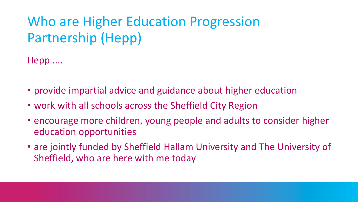# Who are Higher Education Progression Partnership (Hepp)

Hepp ....

- provide impartial advice and guidance about higher education
- work with all schools across the Sheffield City Region
- encourage more children, young people and adults to consider higher education opportunities
- are jointly funded by Sheffield Hallam University and The University of Sheffield, who are here with me today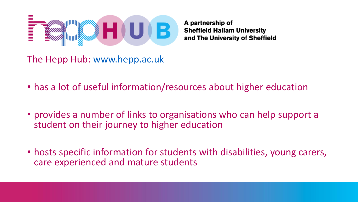

A partnership of **Sheffield Hallam University** and The University of Sheffield

The Hepp Hub: [www.hepp.ac.uk](http://www.hepp.ac.uk/)

- has a lot of useful information/resources about higher education
- provides a number of links to organisations who can help support a student on their journey to higher education
- hosts specific information for students with disabilities, young carers, care experienced and mature students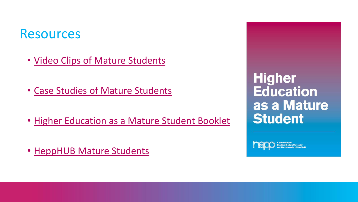### **Resources**

- [Video Clips of Mature Students](https://www.youtube.com/watch?v=GSImIre0Ob8)
- [Case Studies of Mature Students](https://www.hepp.ac.uk/wp-content/uploads/2020/01/200117-Hepp-Adult-Learner-Lee-v3.pdf)
- [Higher Education as a Mature Student Booklet](https://www.hepp.ac.uk/wp-content/uploads/2020/06/Hepp-Higher-Education-as-a-Mature-Student-booklet-web.pdf)
- HeppHUB [Mature Students](https://www.hepp.ac.uk/who-are-you/mature-students/)

**Higher Education** as a Mature **Student**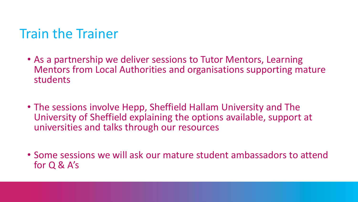## Train the Trainer

- As a partnership we deliver sessions to Tutor Mentors, Learning Mentors from Local Authorities and organisations supporting mature students
- The sessions involve Hepp, Sheffield Hallam University and The University of Sheffield explaining the options available, support at universities and talks through our resources
- Some sessions we will ask our mature student ambassadors to attend for Q & A's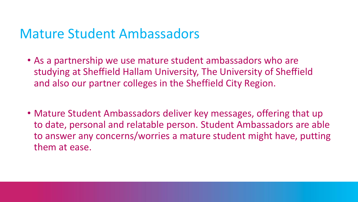## Mature Student Ambassadors

- As a partnership we use mature student ambassadors who are studying at Sheffield Hallam University, The University of Sheffield and also our partner colleges in the Sheffield City Region.
- Mature Student Ambassadors deliver key messages, offering that up to date, personal and relatable person. Student Ambassadors are able to answer any concerns/worries a mature student might have, putting them at ease.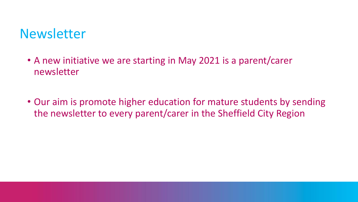## **Newsletter**

- A new initiative we are starting in May 2021 is a parent/carer newsletter
- Our aim is promote higher education for mature students by sending the newsletter to every parent/carer in the Sheffield City Region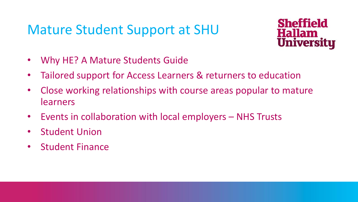## Mature Student Support at SHU



- Why HE? A Mature Students Guide
- Tailored support for Access Learners & returners to education
- Close working relationships with course areas popular to mature learners
- Events in collaboration with local employers NHS Trusts
- Student Union
- Student Finance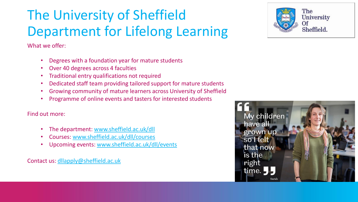# The University of Sheffield Department for Lifelong Learning

What we offer:

- Degrees with a foundation year for mature students
- Over 40 degrees across 4 faculties
- Traditional entry qualifications not required
- Dedicated staff team providing tailored support for mature students
- Growing community of mature learners across University of Sheffield
- Programme of online events and tasters for interested students

#### Find out more:

- The department: [www.sheffield.ac.uk/dll](http://www.sheffield.ac.uk/dll)
- Courses: [www.sheffield.ac.uk/dll/courses](http://www.sheffield.ac.uk/dll/courses)
- Upcoming events: [www.sheffield.ac.uk/dll/events](http://www.sheffield.ac.uk/dll/events)

Contact us: [dllapply@sheffield.ac.uk](mailto:dllapply@sheffield.ac.uk)